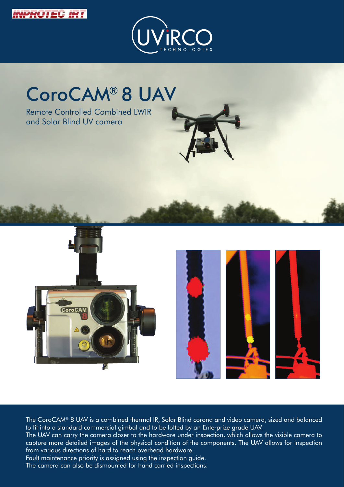



# CoroCAM® 8 UAV

Remote Controlled Combined LWIR and Solar Blind UV camera





The CoroCAM® 8 UAV is a combined thermal IR, Solar Blind corona and video camera, sized and balanced to fit into a standard commercial gimbal and to be lofted by an Enterprize grade UAV.

The UAV can carry the camera closer to the hardware under inspection, which allows the visible camera to capture more detailed images of the physical condition of the components. The UAV allows for inspection from various directions of hard to reach overhead hardware.

Fault maintenance priority is assigned using the inspection guide.

The camera can also be dismounted for hand carried inspections.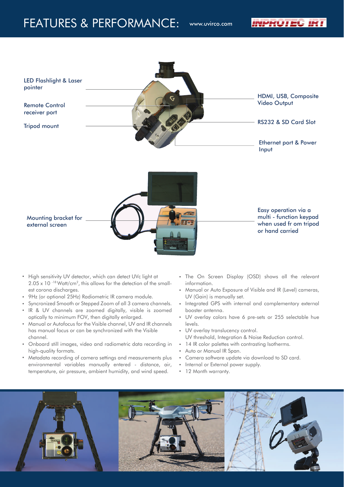### FEATURES & PERFORMANCE: www.uvirco.com

INPROTEC IRT



- High sensitivity UV detector, which can detect UVc light at 2.05 x 10<sup>-18</sup> Watt/cm<sup>2</sup>, this allows for the detection of the smallest corona discharges.
- 9Hz (or optional 25Hz) Radiometric IR camera module.
- Syncronized Smooth or Stepped Zoom of all 3 camera channels.
- IR & UV channels are zoomed digitally, visible is zoomed optically to minimum FOV, then digitally enlarged.
- Manual or Autofocus for the Visible channel, UV and IR channels has manual focus or can be synchronized with the Visible channel.
- Onboard still images, video and radiometric data recording in high-quality formats.
- Metadata recording of camera settings and measurements plus environmental variables manually entered - distance, air, temperature, air pressure, ambient humidity, and wind speed.
- The On Screen Display (OSD) shows all the relevant information.
- Manual or Auto Exposure of Visible and IR (Level) cameras, UV (Gain) is manually set.
- Integrated GPS with internal and complementary external booster antenna.
- UV overlay colors have 6 pre-sets or 255 selectable hue levels.
- UV overlay translucency control. UV threshold, Integration & Noise Reduction control.
- 14 IR color palettes with contrasting Isotherms.
- Auto or Manual IR Span.
- Camera software update via download to SD card.
- Internal or External power supply.
- 12 Month warranty.

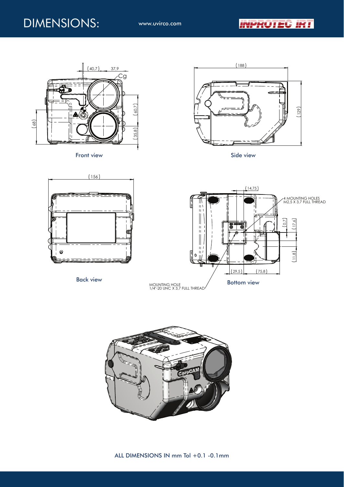





Back view



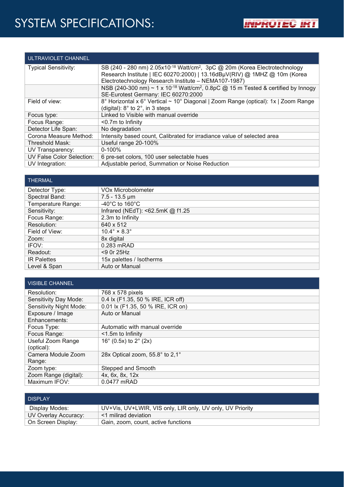## SYSTEM SPECIFICATIONS:

| ULTRAVIOLET CHANNEL         |                                                                                                                                                                                                                                  |
|-----------------------------|----------------------------------------------------------------------------------------------------------------------------------------------------------------------------------------------------------------------------------|
| <b>Typical Sensitivity:</b> | SB (240 - 280 nm) $2.05x10^{-18}$ Watt/cm <sup>2</sup> , 3pC @ 20m (Korea Electrotechnology<br>Research Institute   IEC 60270:2000)   13.16dBµV(RIV) @ 1MHZ @ 10m (Korea<br>Electrotechnology Research Institute - NEMA107-1987) |
|                             | NSB (240-300 nm) ~ 1 x 10 <sup>-18</sup> Watt/cm <sup>2</sup> , 0.8pC @ 15 m Tested & certified by Innogy<br>SE-Eurotest Germany: IEC 60270:2000                                                                                 |
|                             |                                                                                                                                                                                                                                  |
| Field of view:              | 8° Horizontal x 6° Vertical ~ 10° Diagonal   Zoom Range (optical): 1x   Zoom Range<br>(digital): $8^\circ$ to $2^\circ$ , in 3 steps                                                                                             |
| Focus type:                 | Linked to Visible with manual override                                                                                                                                                                                           |
| Focus Range:                | $<$ 0.7 $m$ to Infinity                                                                                                                                                                                                          |
| Detector Life Span:         | No degradation                                                                                                                                                                                                                   |
| Corona Measure Method:      | Intensity based count, Calibrated for irradiance value of selected area                                                                                                                                                          |
| Threshold Mask:             | Useful range 20-100%                                                                                                                                                                                                             |
| UV Transparency:            | $0 - 100\%$                                                                                                                                                                                                                      |
| UV False Color Selection:   | 6 pre-set colors, 100 user selectable hues                                                                                                                                                                                       |
| UV Integration:             | Adjustable period, Summation or Noise Reduction                                                                                                                                                                                  |

#### THERMAL

| .                  |                                      |
|--------------------|--------------------------------------|
| Detector Type:     | <b>VOx Microbolometer</b>            |
| Spectral Band:     | $7.5 - 13.5 \,\text{\mu m}$          |
| Temperature Range: | -40 $^{\circ}$ C to 160 $^{\circ}$ C |
| Sensitivity:       | Infrared (NEdT): <62.5mK @ f1.25     |
| Focus Range:       | 2.3m to Infinity                     |
| Resolution:        | 640 x 512                            |
| Field of View:     | $10.4^\circ \times 8.3^\circ$        |
| Zoom:              | 8x digital                           |
| IFOV:              | 0.283 mRAD                           |
| Readout:           | $<$ 9 0r 25Hz                        |
| <b>IR Palettes</b> | 15x palettes / Isotherms             |
| Level & Span       | Auto or Manual                       |
|                    |                                      |

| <b>VISIBLE CHANNEL</b>       |                                           |
|------------------------------|-------------------------------------------|
| Resolution:                  | 768 x 578 pixels                          |
| Sensitivity Day Mode:        | 0.4 lx (F1.35, 50 % IRE, ICR off)         |
| Sensitivity Night Mode:      | 0.01 lx (F1.35, 50 % IRE, ICR on)         |
| Exposure / Image             | Auto or Manual                            |
| Enhancements:                |                                           |
| Focus Type:                  | Automatic with manual override            |
| Focus Range:                 | <1.5m to Infinity                         |
| Useful Zoom Range            | 16 $^{\circ}$ (0.5x) to 2 $^{\circ}$ (2x) |
| (optical):                   |                                           |
| Camera Module Zoom<br>Range: | 28x Optical zoom, 55.8° to 2,1°           |
| Zoom type:                   | Stepped and Smooth                        |
| Zoom Range (digital):        | 4x, 6x, 8x, 12x                           |
| Maximum IFOV:                | 0.0477 mRAD                               |

| <b>DISPI AY</b>      |                                                           |
|----------------------|-----------------------------------------------------------|
| Display Modes:       | UV+Vis, UV+LWIR, VIS only, LIR only, UV only, UV Priority |
| UV Overlay Accuracy: | <1 milirad deviation                                      |
| On Screen Display:   | Gain, zoom, count, active functions                       |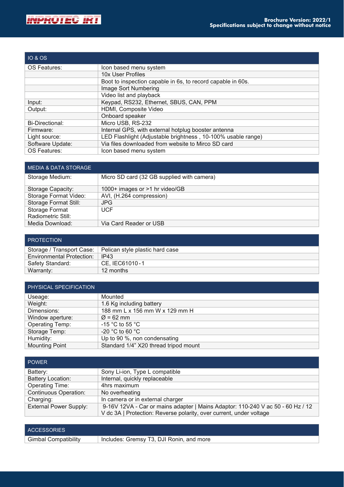

| <b>IO &amp; OS</b>     |                                                              |
|------------------------|--------------------------------------------------------------|
| OS Features:           | Icon based menu system                                       |
|                        | 10x User Profiles                                            |
|                        | Boot to inspection capable in 6s, to record capable in 60s.  |
|                        | Image Sort Numbering                                         |
|                        | Video list and playback                                      |
| Input:                 | Keypad, RS232, Ethernet, SBUS, CAN, PPM                      |
| Output:                | HDMI, Composite Video                                        |
|                        | Onboard speaker                                              |
| <b>Bi-Directional:</b> | Micro USB, RS-232                                            |
| Firmware:              | Internal GPS, with external hotplug booster antenna          |
| Light source:          | LED Flashlight (Adjustable brightness, 10-100% usable range) |
| Software Update:       | Via files downloaded from website to Mirco SD card           |
| OS Features:           | Icon based menu system                                       |

| <b>MEDIA &amp; DATA STORAGE</b> |                                            |
|---------------------------------|--------------------------------------------|
| Storage Medium:                 | Micro SD card (32 GB supplied with camera) |
| Storage Capacity:               | 1000+ images or >1 hr video/GB             |
| Storage Format Video:           | AVI, (H.264 compression)                   |
| Storage Format Still:           | <b>JPG</b>                                 |
| Storage Format                  | <b>UCF</b>                                 |
| Radiometric Still:              |                                            |
| Media Download:                 | Via Card Reader or USB                     |

| <b>PROTECTION</b>                |                                                             |
|----------------------------------|-------------------------------------------------------------|
|                                  | Storage / Transport Case:   Pelican style plastic hard case |
| <b>Environmental Protection:</b> | IP43                                                        |
| Safety Standard:                 | CE. IEC61010-1                                              |
| Warranty:                        | 12 months                                                   |

| PHYSICAL SPECIFICATION |                                       |
|------------------------|---------------------------------------|
| Useage:                | Mounted                               |
| Weight:                | 1.6 Kg including battery              |
| Dimensions:            | 188 mm L x 156 mm W x 129 mm H        |
| Window aperture:       | $\varnothing$ = 62 mm                 |
| <b>Operating Temp:</b> | -15 °C to 55 °C                       |
| Storage Temp:          | -20 °C to 60 °C                       |
| Humidity:              | Up to 90 %, non condensating          |
| <b>Mounting Point</b>  | Standard 1/4" X20 thread tripod mount |

| <b>POWER</b>                  |                                                                                 |
|-------------------------------|---------------------------------------------------------------------------------|
| Battery:                      | Sony Li-ion, Type L compatible                                                  |
| <b>Battery Location:</b>      | Internal, quickly replaceable                                                   |
| <b>Operating Time:</b>        | 4hrs maximum                                                                    |
| <b>Continuous Operation:</b>  | No overheating                                                                  |
| Charging:                     | In camera or in external charger                                                |
| <b>External Power Supply:</b> | 9-16V 12VA - Car or mains adapter   Mains Adaptor: 110-240 V ac 50 - 60 Hz / 12 |
|                               | V dc 3A   Protection: Reverse polarity, over current, under voltage             |

| <b>ACCESSORIES</b>          |                                          |
|-----------------------------|------------------------------------------|
| <b>Gimbal Compatibility</b> | Includes: Gremsy T3, DJI Ronin, and more |